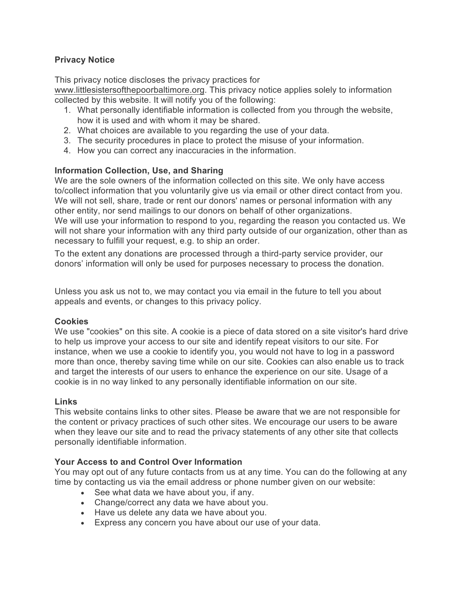# **Privacy Notice**

This privacy notice discloses the privacy practices for www.littlesistersofthepoorbaltimore.org. This privacy notice applies solely to information collected by this website. It will notify you of the following:

- 1. What personally identifiable information is collected from you through the website, how it is used and with whom it may be shared.
- 2. What choices are available to you regarding the use of your data.
- 3. The security procedures in place to protect the misuse of your information.
- 4. How you can correct any inaccuracies in the information.

## **Information Collection, Use, and Sharing**

We are the sole owners of the information collected on this site. We only have access to/collect information that you voluntarily give us via email or other direct contact from you. We will not sell, share, trade or rent our donors' names or personal information with any other entity, nor send mailings to our donors on behalf of other organizations. We will use your information to respond to you, regarding the reason you contacted us. We will not share your information with any third party outside of our organization, other than as necessary to fulfill your request, e.g. to ship an order.

To the extent any donations are processed through a third-party service provider, our donors' information will only be used for purposes necessary to process the donation.

Unless you ask us not to, we may contact you via email in the future to tell you about appeals and events, or changes to this privacy policy.

## **Cookies**

We use "cookies" on this site. A cookie is a piece of data stored on a site visitor's hard drive to help us improve your access to our site and identify repeat visitors to our site. For instance, when we use a cookie to identify you, you would not have to log in a password more than once, thereby saving time while on our site. Cookies can also enable us to track and target the interests of our users to enhance the experience on our site. Usage of a cookie is in no way linked to any personally identifiable information on our site.

## **Links**

This website contains links to other sites. Please be aware that we are not responsible for the content or privacy practices of such other sites. We encourage our users to be aware when they leave our site and to read the privacy statements of any other site that collects personally identifiable information.

## **Your Access to and Control Over Information**

You may opt out of any future contacts from us at any time. You can do the following at any time by contacting us via the email address or phone number given on our website:

- See what data we have about you, if any.
- Change/correct any data we have about you.
- Have us delete any data we have about you.
- Express any concern you have about our use of your data.